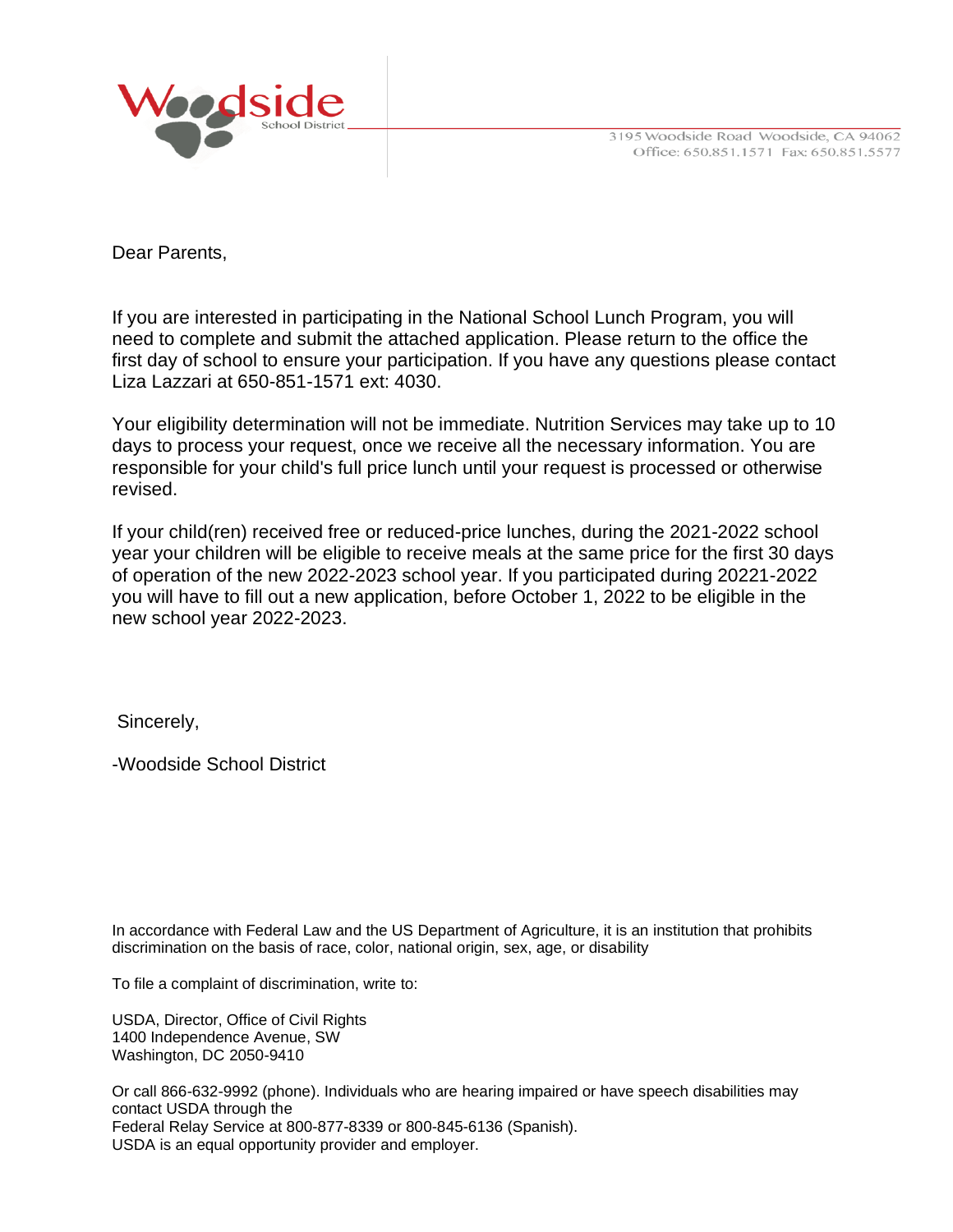



Dear Parents,

If you are interested in participating in the National School Lunch Program, you will need to complete and submit the attached application. Please return to the office the first day of school to ensure your participation. If you have any questions please contact Liza Lazzari at 650-851-1571 ext: 4030.

Your eligibility determination will not be immediate. Nutrition Services may take up to 10 days to process your request, once we receive all the necessary information. You are responsible for your child's full price lunch until your request is processed or otherwise revised.

If your child(ren) received free or reduced-price lunches, during the 2021-2022 school year your children will be eligible to receive meals at the same price for the first 30 days of operation of the new 2022-2023 school year. If you participated during 20221-2022 you will have to fill out a new application, before October 1, 2022 to be eligible in the new school year 2022-2023.

Sincerely,

-Woodside School District

In accordance with Federal Law and the US Department of Agriculture, it is an institution that prohibits discrimination on the basis of race, color, national origin, sex, age, or disability

To file a complaint of discrimination, write to:

USDA, Director, Office of Civil Rights 1400 Independence Avenue, SW Washington, DC 2050-9410

Or call 866-632-9992 (phone). Individuals who are hearing impaired or have speech disabilities may contact USDA through the Federal Relay Service at 800-877-8339 or 800-845-6136 (Spanish). USDA is an equal opportunity provider and employer.